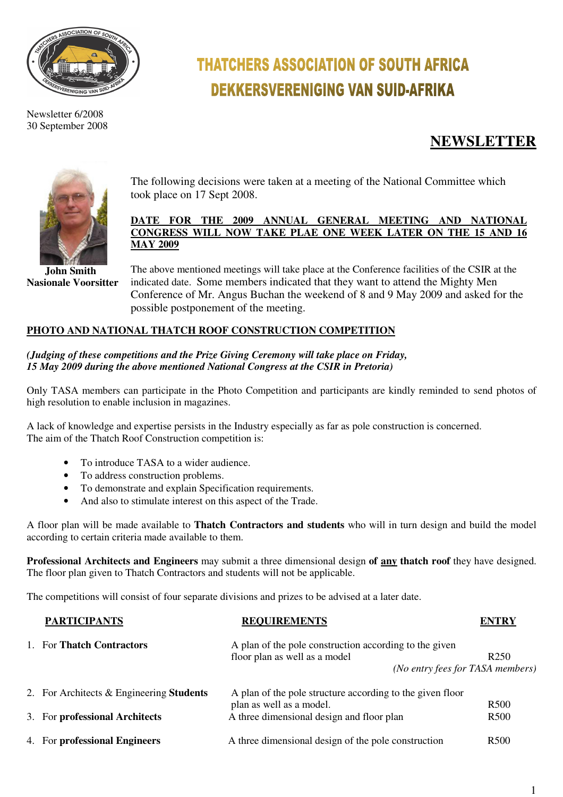

Newsletter 6/2008 30 September 2008

# **THATCHERS ASSOCIATION OF SOUTH AFRICA DEKKERSVERENIGING VAN SUID-AFRIKA**

## **NEWSLETTER**



 **John Smith Nasionale Voorsitter** 

The following decisions were taken at a meeting of the National Committee which took place on 17 Sept 2008.

#### **DATE FOR THE 2009 ANNUAL GENERAL MEETING AND NATIONAL CONGRESS WILL NOW TAKE PLAE ONE WEEK LATER ON THE 15 AND 16 MAY 2009**

The above mentioned meetings will take place at the Conference facilities of the CSIR at the indicated date. Some members indicated that they want to attend the Mighty Men Conference of Mr. Angus Buchan the weekend of 8 and 9 May 2009 and asked for the possible postponement of the meeting.

### **PHOTO AND NATIONAL THATCH ROOF CONSTRUCTION COMPETITION**

#### *(Judging of these competitions and the Prize Giving Ceremony will take place on Friday, 15 May 2009 during the above mentioned National Congress at the CSIR in Pretoria)*

Only TASA members can participate in the Photo Competition and participants are kindly reminded to send photos of high resolution to enable inclusion in magazines.

A lack of knowledge and expertise persists in the Industry especially as far as pole construction is concerned. The aim of the Thatch Roof Construction competition is:

- To introduce TASA to a wider audience.
- To address construction problems.
- To demonstrate and explain Specification requirements.
- And also to stimulate interest on this aspect of the Trade.

A floor plan will be made available to **Thatch Contractors and students** who will in turn design and build the model according to certain criteria made available to them.

**Professional Architects and Engineers** may submit a three dimensional design **of any thatch roof** they have designed. The floor plan given to Thatch Contractors and students will not be applicable.

The competitions will consist of four separate divisions and prizes to be advised at a later date.

| <b>PARTICIPANTS</b>                      | <b>REQUIREMENTS</b>                                       | <b>ENTRY</b>     |
|------------------------------------------|-----------------------------------------------------------|------------------|
| 1. For Thatch Contractors                | A plan of the pole construction according to the given    |                  |
|                                          | floor plan as well as a model                             | R <sub>250</sub> |
|                                          | (No entry fees for TASA members)                          |                  |
| 2. For Architects & Engineering Students | A plan of the pole structure according to the given floor |                  |
|                                          | plan as well as a model.                                  | R <sub>500</sub> |
| 3. For professional Architects           | A three dimensional design and floor plan                 | R <sub>500</sub> |
| 4. For professional Engineers            | A three dimensional design of the pole construction       | R <sub>500</sub> |